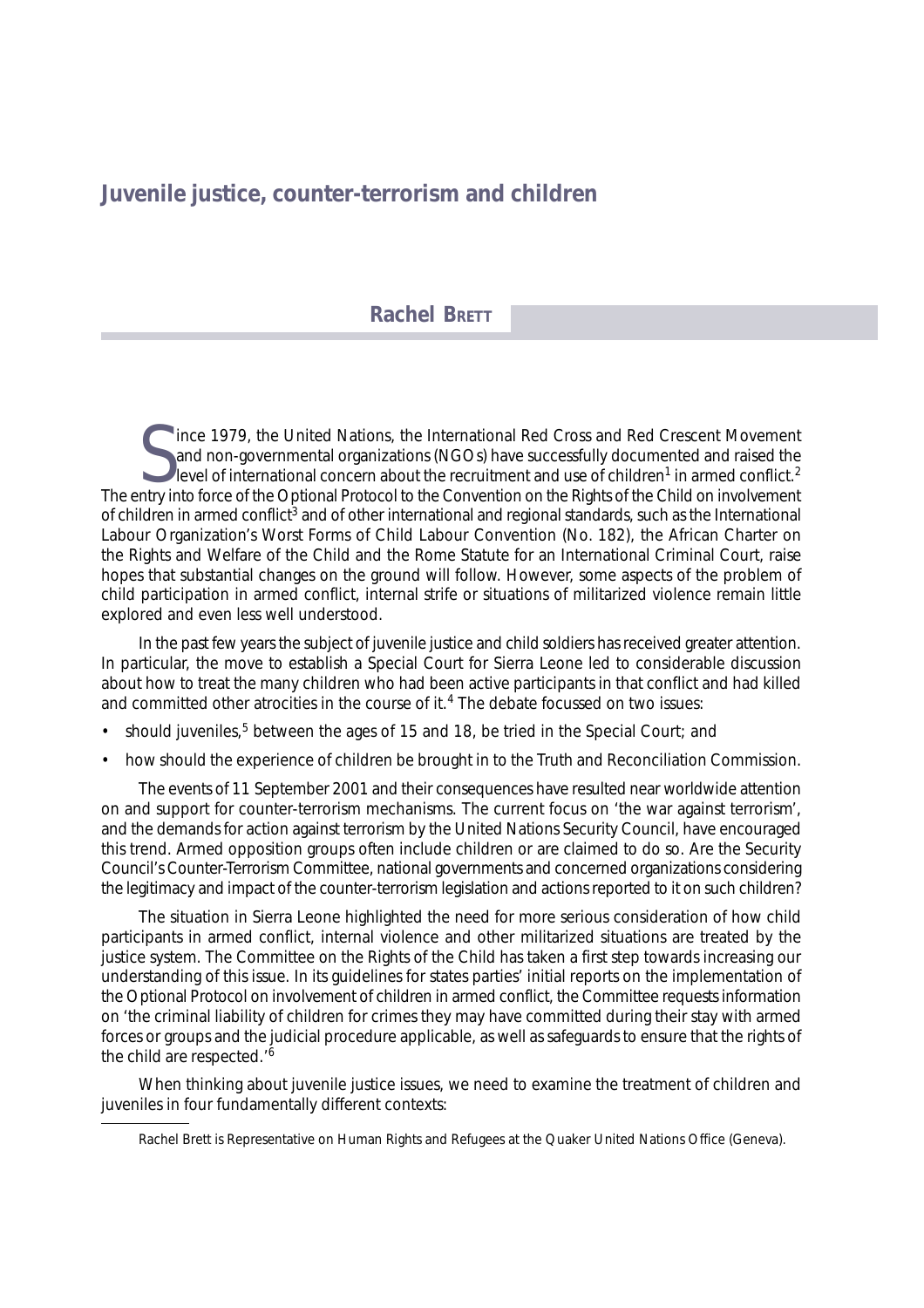# **Juvenile justice, counter-terrorism and children**

## **Rachel BRETT**

Solution force 1979, the United Nations, the International Red Cross and Red Crescent Movement and non-governmental organizations (NGOs) have successfully documented and raised the level of international concern about the Ince 1979, the United Nations, the International Red Cross and Red Crescent Movement and non-governmental organizations (NGOs) have successfully documented and raised the level of international concern about the recruitment and use of children<sup>1</sup> in armed conflict.<sup>2</sup> of children in armed conflict<sup>3</sup> and of other international and regional standards, such as the International Labour Organization's Worst Forms of Child Labour Convention (No. 182), the African Charter on the Rights and Welfare of the Child and the Rome Statute for an International Criminal Court, raise hopes that substantial changes on the ground will follow. However, some aspects of the problem of child participation in armed conflict, internal strife or situations of militarized violence remain little explored and even less well understood.

In the past few years the subject of juvenile justice and child soldiers has received greater attention. In particular, the move to establish a Special Court for Sierra Leone led to considerable discussion about how to treat the many children who had been active participants in that conflict and had killed and committed other atrocities in the course of it.<sup>4</sup> The debate focussed on two issues:

- should juveniles, $5$  between the ages of 15 and 18, be tried in the Special Court; and
- how should the experience of children be brought in to the Truth and Reconciliation Commission.

The events of 11 September 2001 and their consequences have resulted near worldwide attention on and support for counter-terrorism mechanisms. The current focus on 'the war against terrorism', and the demands for action against terrorism by the United Nations Security Council, have encouraged this trend. Armed opposition groups often include children or are claimed to do so. Are the Security Council's Counter-Terrorism Committee, national governments and concerned organizations considering the legitimacy and impact of the counter-terrorism legislation and actions reported to it on such children?

The situation in Sierra Leone highlighted the need for more serious consideration of how child participants in armed conflict, internal violence and other militarized situations are treated by the justice system. The Committee on the Rights of the Child has taken a first step towards increasing our understanding of this issue. In its guidelines for states parties' initial reports on the implementation of the Optional Protocol on involvement of children in armed conflict, the Committee requests information on 'the criminal liability of children for crimes they may have committed during their stay with armed forces or groups and the judicial procedure applicable, as well as safeguards to ensure that the rights of the child are respected.'6

When thinking about juvenile justice issues, we need to examine the treatment of children and juveniles in four fundamentally different contexts:

Rachel Brett is Representative on Human Rights and Refugees at the Quaker United Nations Office (Geneva).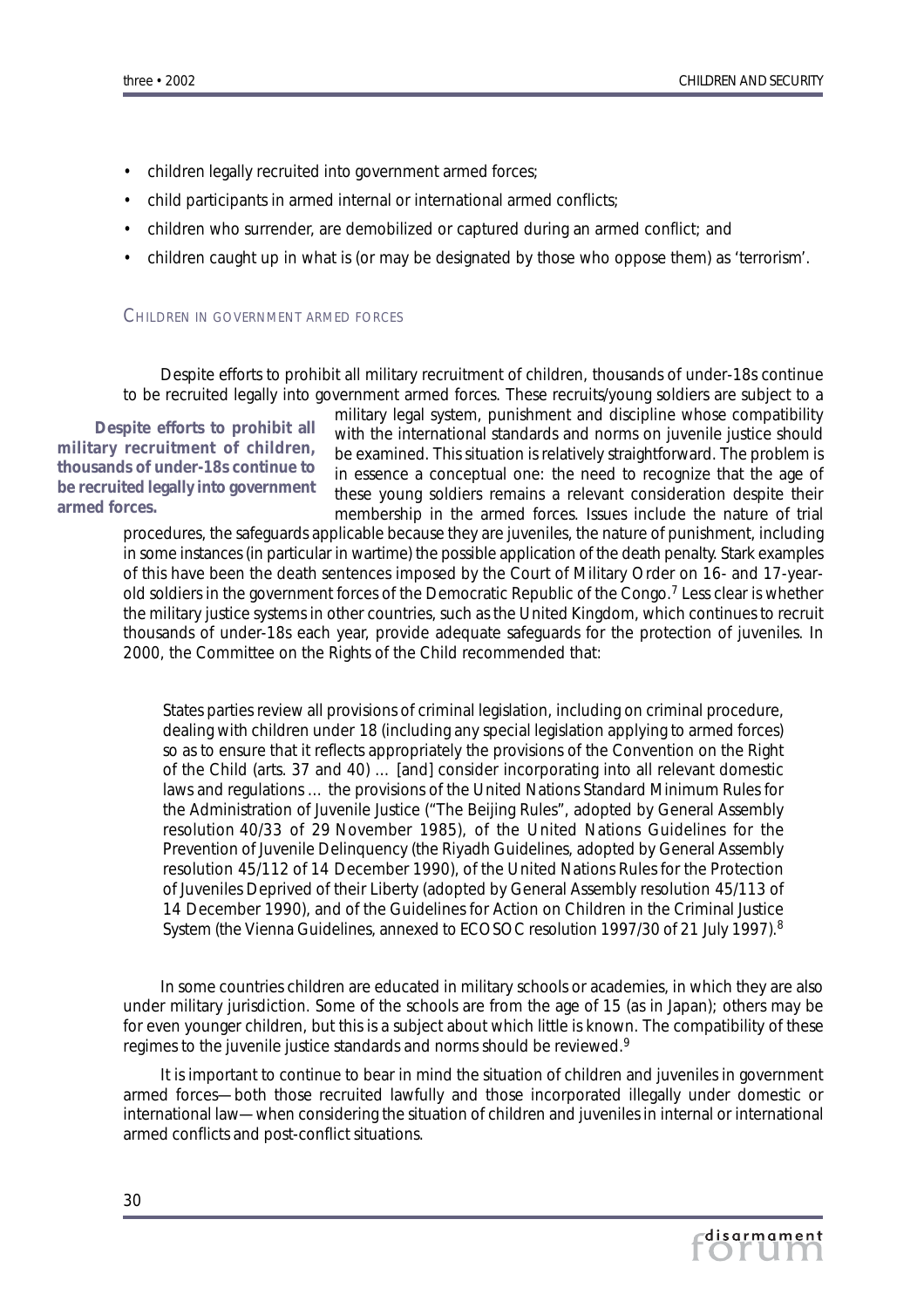- children legally recruited into government armed forces;
- child participants in armed internal or international armed conflicts;
- children who surrender, are demobilized or captured during an armed conflict; and
- children caught up in what is (or may be designated by those who oppose them) as 'terrorism'.

## CHILDREN IN GOVERNMENT ARMED FORCES

Despite efforts to prohibit *all* military recruitment of children, thousands of under-18s continue to be recruited legally into government armed forces. These recruits/young soldiers are subject to a

*Despite efforts to prohibit* **all** *military recruitment of children, thousands of under-18s continue to be recruited legally into government armed forces.*

military legal system, punishment and discipline whose compatibility with the international standards and norms on juvenile justice should be examined. This situation is relatively straightforward. The problem is in essence a conceptual one: the need to recognize that the age of these young soldiers remains a relevant consideration despite their membership in the armed forces. Issues include the nature of trial

procedures, the safeguards applicable because they are juveniles, the nature of punishment, including in some instances (in particular in wartime) the possible application of the death penalty. Stark examples of this have been the death sentences imposed by the Court of Military Order on 16- and 17-yearold soldiers in the government forces of the Democratic Republic of the Congo.7 Less clear is whether the military justice systems in other countries, such as the United Kingdom, which continues to recruit thousands of under-18s each year, provide adequate safeguards for the protection of juveniles. In 2000, the Committee on the Rights of the Child recommended that:

States parties review all provisions of criminal legislation, including on criminal procedure, dealing with children under 18 (including any special legislation applying to armed forces) so as to ensure that it reflects appropriately the provisions of the Convention on the Right of the Child (arts. 37 and 40) … [and] consider incorporating into all relevant domestic laws and regulations … the provisions of the United Nations Standard Minimum Rules for the Administration of Juvenile Justice ("The Beijing Rules", adopted by General Assembly resolution 40/33 of 29 November 1985), of the United Nations Guidelines for the Prevention of Juvenile Delinquency (the Riyadh Guidelines, adopted by General Assembly resolution 45/112 of 14 December 1990), of the United Nations Rules for the Protection of Juveniles Deprived of their Liberty (adopted by General Assembly resolution 45/113 of 14 December 1990), and of the Guidelines for Action on Children in the Criminal Justice System (the Vienna Guidelines, annexed to ECOSOC resolution 1997/30 of 21 July 1997).8

In some countries children are educated in military schools or academies, in which they are also under military jurisdiction. Some of the schools are from the age of 15 (as in Japan); others may be for even younger children, but this is a subject about which little is known. The compatibility of these regimes to the juvenile justice standards and norms should be reviewed.<sup>9</sup>

It is important to continue to bear in mind the situation of children and juveniles in government armed forces—both those recruited lawfully and those incorporated illegally under domestic or international law—when considering the situation of children and juveniles in internal or international armed conflicts and post-conflict situations.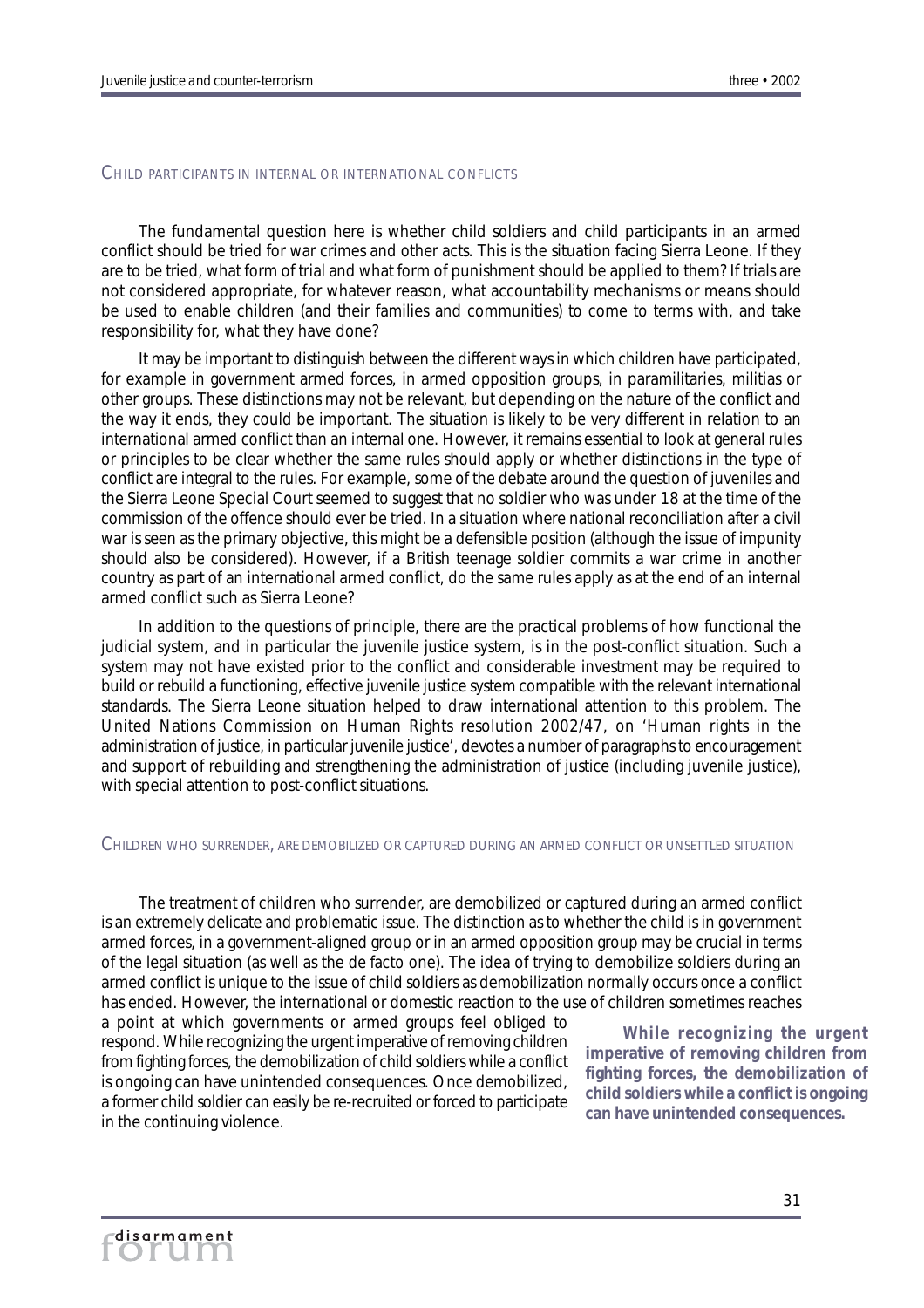#### CHILD PARTICIPANTS IN INTERNAL OR INTERNATIONAL CONFLICTS

The fundamental question here is whether child soldiers and child participants in an armed conflict should be tried for war crimes and other acts. This is the situation facing Sierra Leone. If they are to be tried, what form of trial and what form of punishment should be applied to them? If trials are not considered appropriate, for whatever reason, what accountability mechanisms or means should be used to enable children (and their families and communities) to come to terms with, and take responsibility for, what they have done?

It may be important to distinguish between the different ways in which children have participated, for example in government armed forces, in armed opposition groups, in paramilitaries, militias or other groups. These distinctions may not be relevant, but depending on the nature of the conflict and the way it ends, they could be important. The situation is likely to be very different in relation to an international armed conflict than an internal one. However, it remains essential to look at general rules or principles to be clear whether the same rules should apply or whether distinctions in the type of conflict are integral to the rules. For example, some of the debate around the question of juveniles and the Sierra Leone Special Court seemed to suggest that no soldier who was under 18 at the time of the commission of the offence should ever be tried. In a situation where national reconciliation after a civil war is seen as the primary objective, this might be a defensible position (although the issue of impunity should also be considered). However, if a British teenage soldier commits a war crime in another country as part of an international armed conflict, do the same rules apply as at the end of an internal armed conflict such as Sierra Leone?

In addition to the questions of principle, there are the practical problems of how functional the judicial system, and in particular the juvenile justice system, is in the post-conflict situation. Such a system may not have existed prior to the conflict and considerable investment may be required to build or rebuild a functioning, effective juvenile justice system compatible with the relevant international standards. The Sierra Leone situation helped to draw international attention to this problem. The United Nations Commission on Human Rights resolution 2002/47, on 'Human rights in the administration of justice, in particular juvenile justice', devotes a number of paragraphs to encouragement and support of rebuilding and strengthening the administration of justice (including juvenile justice), with special attention to post-conflict situations.

#### CHILDREN WHO SURRENDER, ARE DEMOBILIZED OR CAPTURED DURING AN ARMED CONFLICT OR UNSETTLED SITUATION

The treatment of children who surrender, are demobilized or captured during an armed conflict is an extremely delicate and problematic issue. The distinction as to whether the child is in government armed forces, in a government-aligned group or in an armed opposition group may be crucial in terms of the legal situation (as well as the *de facto* one). The idea of trying to demobilize soldiers during an armed conflict is unique to the issue of child soldiers as demobilization normally occurs once a conflict has ended. However, the international or domestic reaction to the use of children sometimes reaches

a point at which governments or armed groups feel obliged to respond. While recognizing the urgent imperative of removing children from fighting forces, the demobilization of child soldiers while a conflict is ongoing can have unintended consequences. Once demobilized, a former child soldier can easily be re-recruited or forced to participate in the continuing violence.

*While recognizing the urgent imperative of removing children from fighting forces, the demobilization of child soldiers while a conflict is ongoing can have unintended consequences.*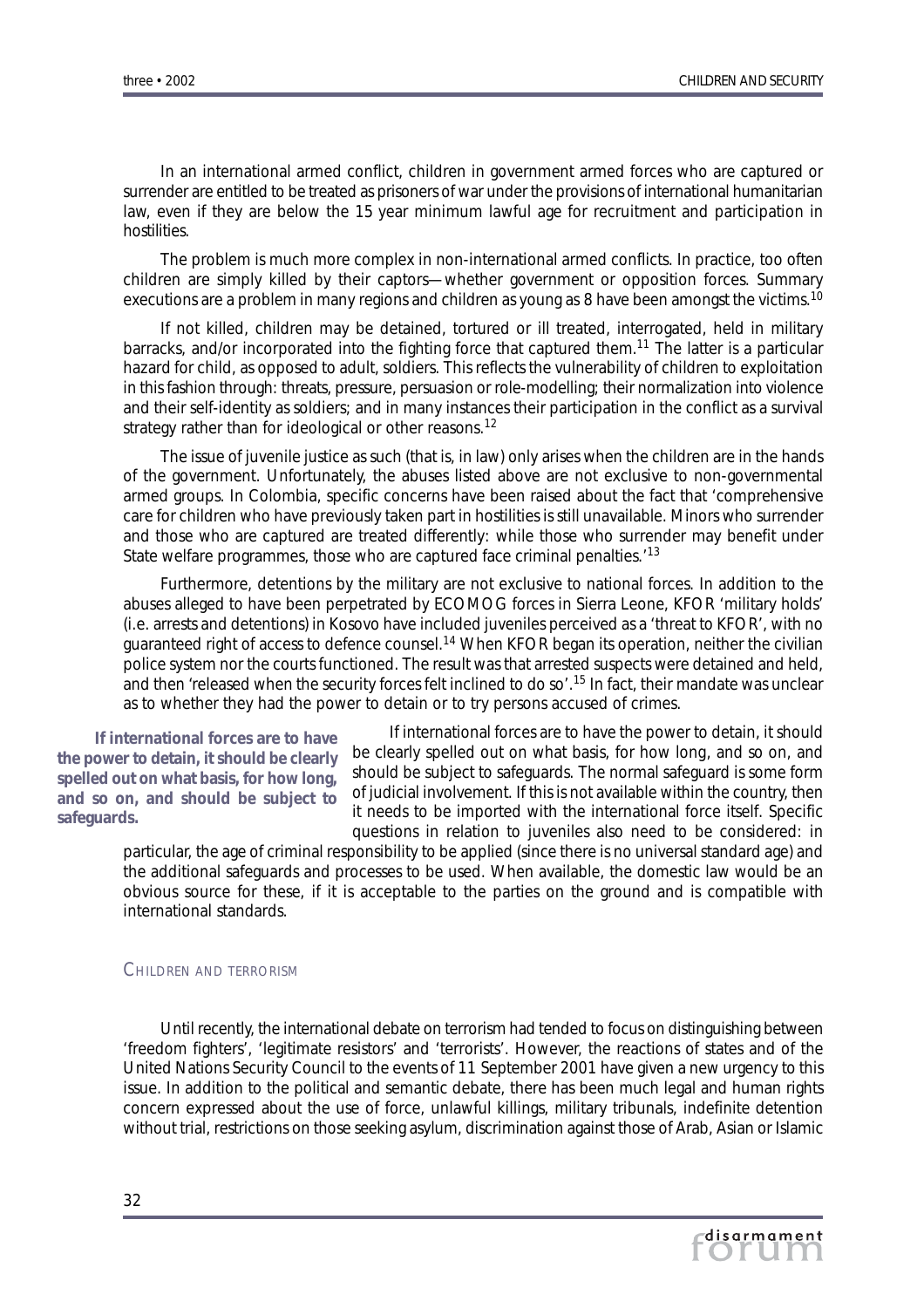In an international armed conflict, children in government armed forces who are captured or surrender are entitled to be treated as prisoners of war under the provisions of international humanitarian law, even if they are below the 15 year minimum lawful age for recruitment and participation in hostilities.

The problem is much more complex in non-international armed conflicts. In practice, too often children are simply killed by their captors—whether government or opposition forces. Summary executions are a problem in many regions and children as young as 8 have been amongst the victims.<sup>10</sup>

If not killed, children may be detained, tortured or ill treated, interrogated, held in military barracks, and/or incorporated into the fighting force that captured them.<sup>11</sup> The latter is a particular hazard for child, as opposed to adult, soldiers. This reflects the vulnerability of children to exploitation in this fashion through: threats, pressure, persuasion or role-modelling; their normalization into violence and their self-identity as soldiers; and in many instances their participation in the conflict as a survival strategy rather than for ideological or other reasons.<sup>12</sup>

The issue of juvenile justice as such (that is, in law) only arises when the children are in the hands of the government. Unfortunately, the abuses listed above are not exclusive to non-governmental armed groups. In Colombia, specific concerns have been raised about the fact that 'comprehensive care for children who have previously taken part in hostilities is still unavailable. Minors who surrender and those who are captured are treated differently: while those who surrender may benefit under State welfare programmes, those who are captured face criminal penalties.<sup>'13</sup>

Furthermore, detentions by the military are not exclusive to national forces. In addition to the abuses alleged to have been perpetrated by ECOMOG forces in Sierra Leone, KFOR 'military holds' (i.e. arrests and detentions) in Kosovo have included juveniles perceived as a 'threat to KFOR', with no guaranteed right of access to defence counsel.<sup>14</sup> When KFOR began its operation, neither the civilian police system nor the courts functioned. The result was that arrested suspects were detained and held, and then 'released when the security forces felt inclined to do so'.<sup>15</sup> In fact, their mandate was unclear as to whether they had the power to detain or to try persons accused of crimes.

*If international forces* **are** *to have the power to detain, it should be clearly spelled out on what basis, for how long, and so on, and should be subject to safeguards.*

If international forces *are* to have the power to detain, it should be clearly spelled out on what basis, for how long, and so on, and should be subject to safeguards. The normal safeguard is some form of judicial involvement. If this is not available within the country, then it needs to be imported with the international force itself. Specific questions in relation to juveniles also need to be considered: in

particular, the age of criminal responsibility to be applied (since there is no universal standard age) and the additional safeguards and processes to be used. When available, the domestic law would be an obvious source for these, if it is acceptable to the parties on the ground and is compatible with international standards.

#### CHILDREN AND TERRORISM

Until recently, the international debate on terrorism had tended to focus on distinguishing between 'freedom fighters', 'legitimate resistors' and 'terrorists'. However, the reactions of states and of the United Nations Security Council to the events of 11 September 2001 have given a new urgency to this issue. In addition to the political and semantic debate, there has been much legal and human rights concern expressed about the use of force, unlawful killings, military tribunals, indefinite detention without trial, restrictions on those seeking asylum, discrimination against those of Arab, Asian or Islamic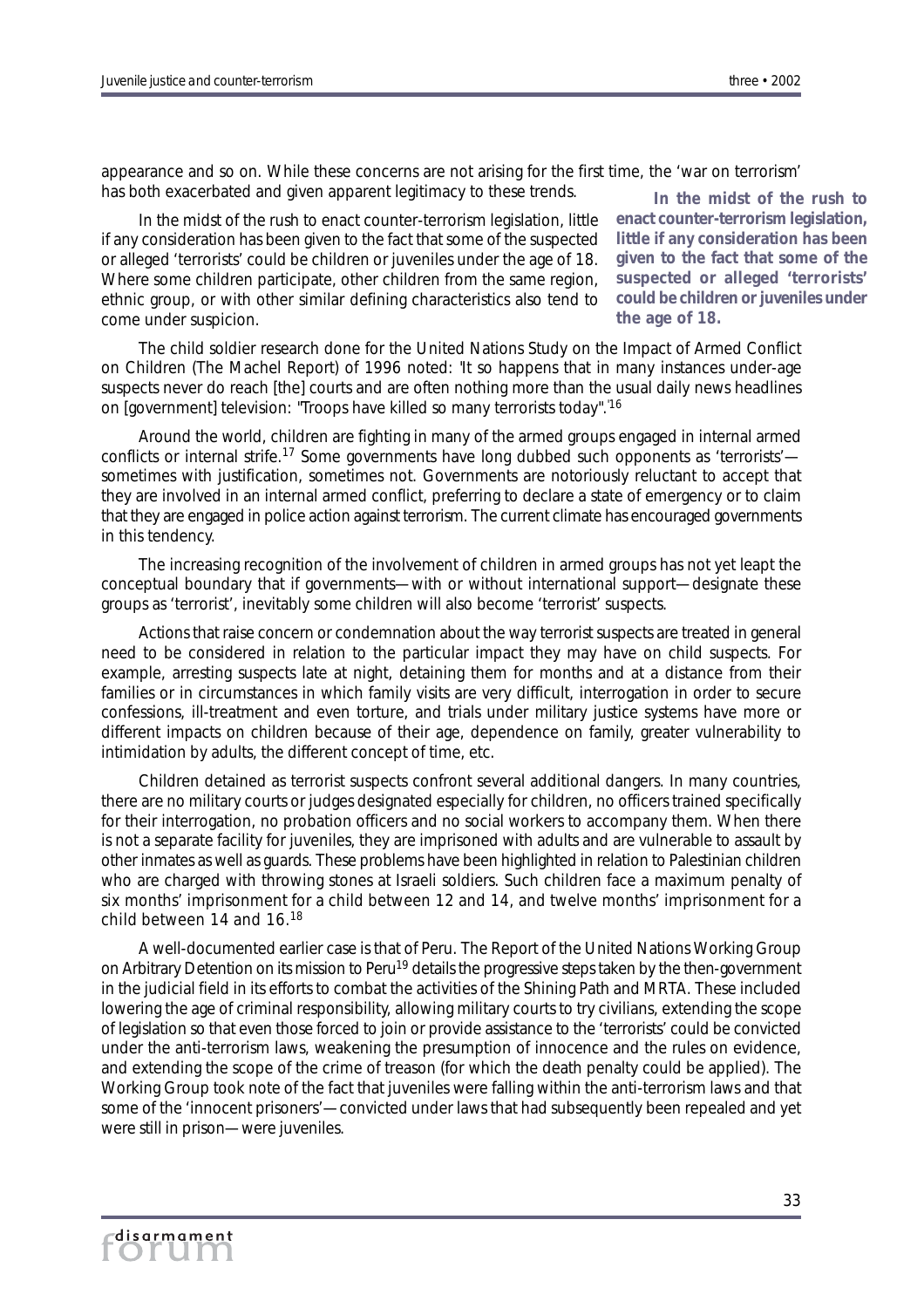*enact counter-terrorism legislation, little if any consideration has been given to the fact that some of the suspected or alleged 'terrorists' could be children or juveniles under*

*the age of 18.*

appearance and so on. While these concerns are not arising for the first time, the 'war on terrorism' has both exacerbated and given apparent legitimacy to these trends. *In the midst of the rush to*

In the midst of the rush to enact counter-terrorism legislation, little if any consideration has been given to the fact that some of the suspected or alleged 'terrorists' could be children or juveniles under the age of 18. Where some children participate, other children from the same region, ethnic group, or with other similar defining characteristics also tend to come under suspicion.

The child soldier research done for the United Nations Study on the Impact of Armed Conflict on Children (The Machel Report) of 1996 noted: 'It so happens that in many instances under-age suspects never do reach [the] courts and are often nothing more than the usual daily news headlines on [government] television: "Troops have killed so many terrorists today".'16

Around the world, children are fighting in many of the armed groups engaged in internal armed conflicts or internal strife.<sup>17</sup> Some governments have long dubbed such opponents as 'terrorists' sometimes with justification, sometimes not. Governments are notoriously reluctant to accept that they are involved in an internal armed conflict, preferring to declare a state of emergency or to claim that they are engaged in police action against terrorism. The current climate has encouraged governments in this tendency.

The increasing recognition of the involvement of children in armed groups has not yet leapt the conceptual boundary that if governments—with or without international support—designate these groups as 'terrorist', inevitably some children will also become 'terrorist' suspects.

Actions that raise concern or condemnation about the way terrorist suspects are treated in general need to be considered in relation to the particular impact they may have on child suspects. For example, arresting suspects late at night, detaining them for months and at a distance from their families or in circumstances in which family visits are very difficult, interrogation in order to secure confessions, ill-treatment and even torture, and trials under military justice systems have more or different impacts on children because of their age, dependence on family, greater vulnerability to intimidation by adults, the different concept of time, etc.

Children detained as terrorist suspects confront several additional dangers. In many countries, there are no military courts or judges designated especially for children, no officers trained specifically for their interrogation, no probation officers and no social workers to accompany them. When there is not a separate facility for juveniles, they are imprisoned with adults and are vulnerable to assault by other inmates as well as guards. These problems have been highlighted in relation to Palestinian children who are charged with throwing stones at Israeli soldiers. Such children face a maximum penalty of six months' imprisonment for a child between 12 and 14, and twelve months' imprisonment for a child between 14 and 16.<sup>18</sup>

A well-documented earlier case is that of Peru. The Report of the United Nations Working Group on Arbitrary Detention on its mission to Peru<sup>19</sup> details the progressive steps taken by the then-government in the judicial field in its efforts to combat the activities of the Shining Path and MRTA. These included lowering the age of criminal responsibility, allowing military courts to try civilians, extending the scope of legislation so that even those *forced* to join or provide assistance to the 'terrorists' could be convicted under the anti-terrorism laws, weakening the presumption of innocence and the rules on evidence, and extending the scope of the crime of treason (for which the death penalty could be applied). The Working Group took note of the fact that juveniles were falling within the anti-terrorism laws and that some of the 'innocent prisoners'—convicted under laws that had subsequently been repealed and yet were still in prison—were juveniles.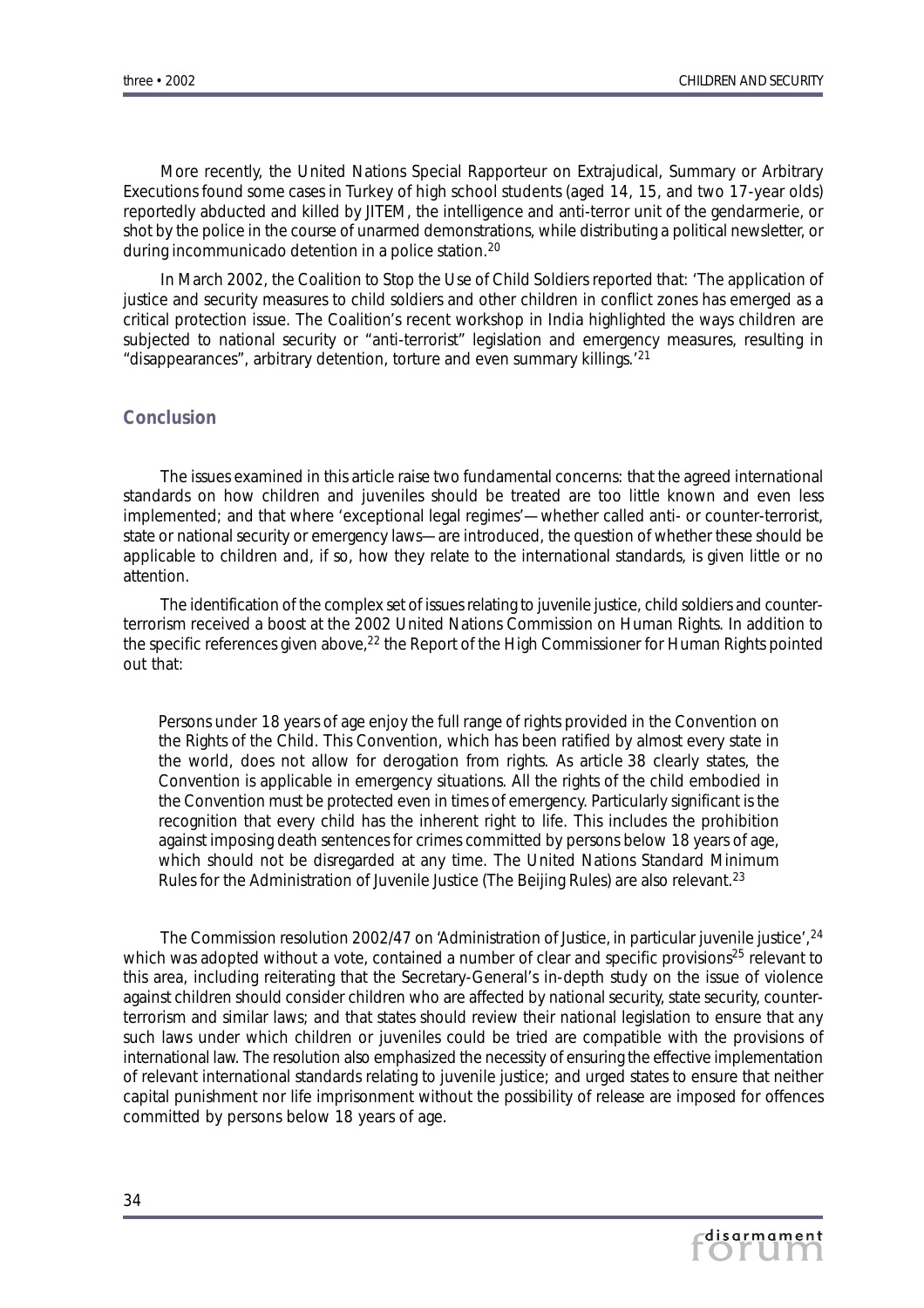More recently, the United Nations Special Rapporteur on Extrajudical, Summary or Arbitrary Executions found some cases in Turkey of high school students (aged 14, 15, and two 17-year olds) reportedly abducted and killed by JITEM, the intelligence and anti-terror unit of the gendarmerie, or shot by the police in the course of unarmed demonstrations, while distributing a political newsletter, or during incommunicado detention in a police station.<sup>20</sup>

In March 2002, the Coalition to Stop the Use of Child Soldiers reported that: 'The application of justice and security measures to child soldiers and other children in conflict zones has emerged as a critical protection issue. The Coalition's recent workshop in India highlighted the ways children are subjected to national security or "anti-terrorist" legislation and emergency measures, resulting in "disappearances", arbitrary detention, torture and even summary killings.'<sup>21</sup>

## *Conclusion*

The issues examined in this article raise two fundamental concerns: that the agreed international standards on how children and juveniles should be treated are too little known and even less implemented; and that where 'exceptional legal regimes'—whether called anti- or counter-terrorist, state or national security or emergency laws—are introduced, the question of whether these should be applicable to children and, if so, how they relate to the international standards, is given little or no attention.

The identification of the complex set of issues relating to juvenile justice, child soldiers and counterterrorism received a boost at the 2002 United Nations Commission on Human Rights. In addition to the specific references given above,<sup>22</sup> the Report of the High Commissioner for Human Rights pointed out that:

Persons under 18 years of age enjoy the full range of rights provided in the Convention on the Rights of the Child. This Convention, which has been ratified by almost every state in the world, does not allow for derogation from rights. As article 38 clearly states, the Convention is applicable in emergency situations. All the rights of the child embodied in the Convention must be protected even in times of emergency. Particularly significant is the recognition that every child has the inherent right to life. This includes the prohibition against imposing death sentences for crimes committed by persons below 18 years of age, which should not be disregarded at any time. The United Nations Standard Minimum Rules for the Administration of Juvenile Justice (The Beijing Rules) are also relevant.23

The Commission resolution 2002/47 on 'Administration of Justice, in particular juvenile justice'.<sup>24</sup> which was adopted without a vote, contained a number of clear and specific provisions<sup>25</sup> relevant to this area, including reiterating that the Secretary-General's in-depth study on the issue of violence against children should consider children who are affected by national security, state security, counterterrorism and similar laws; and that states should review their national legislation to ensure that any such laws under which children or juveniles could be tried are compatible with the provisions of international law. The resolution also emphasized the necessity of ensuring the effective implementation of relevant international standards relating to juvenile justice; and urged states to ensure that neither capital punishment nor life imprisonment without the possibility of release are imposed for offences committed by persons below 18 years of age.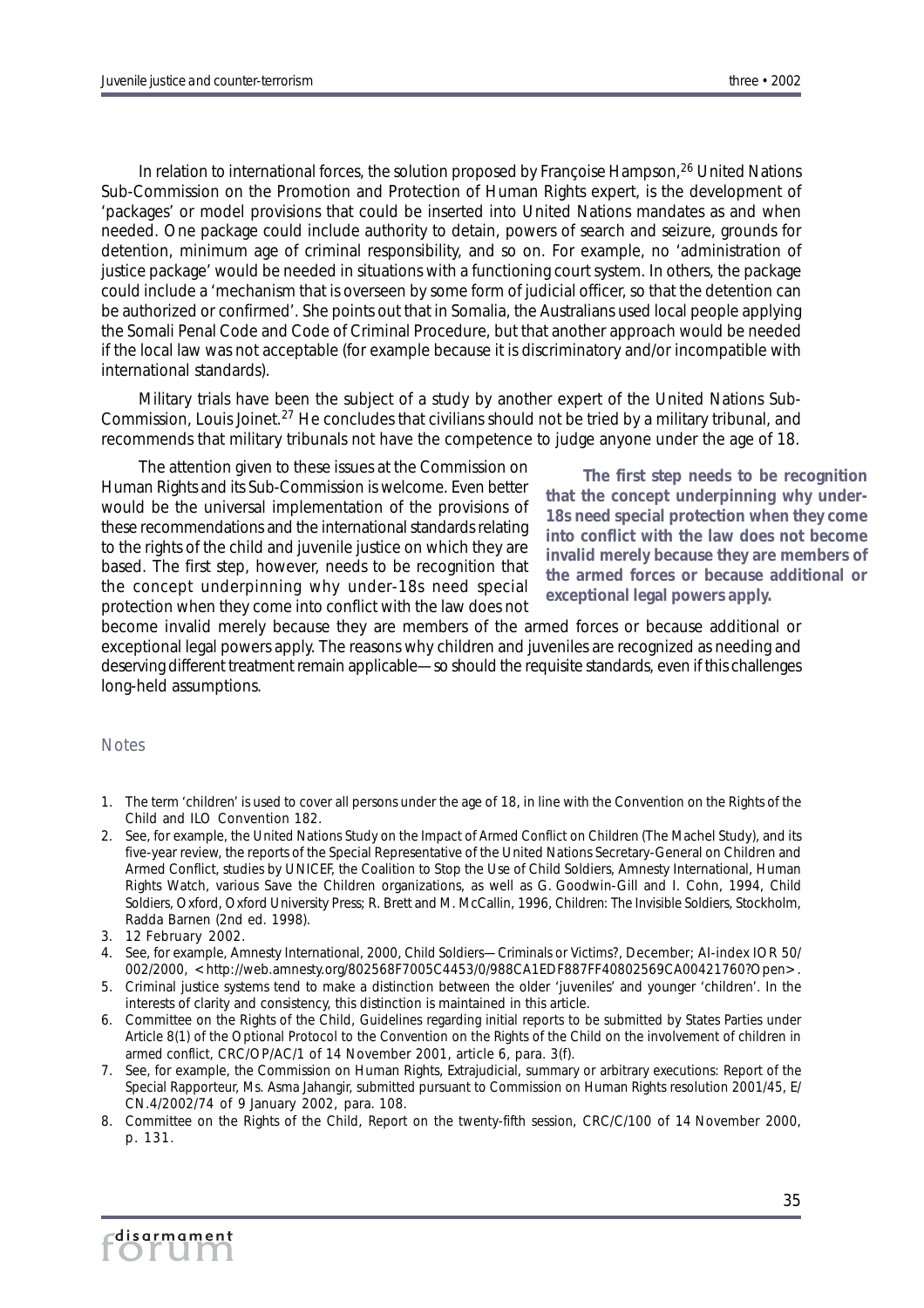In relation to international forces, the solution proposed by Françoise Hampson, <sup>26</sup> United Nations Sub-Commission on the Promotion and Protection of Human Rights expert, is the development of 'packages' or model provisions that could be inserted into United Nations mandates as and when needed. One package could include authority to detain, powers of search and seizure, grounds for detention, minimum age of criminal responsibility, and so on. For example, no 'administration of justice package' would be needed in situations with a functioning court system. In others, the package could include a 'mechanism that is overseen by some form of judicial officer, so that the detention can be authorized or confirmed'. She points out that in Somalia, the Australians used local people applying the Somali Penal Code and Code of Criminal Procedure, but that another approach would be needed if the local law was not acceptable (for example because it is discriminatory and/or incompatible with international standards).

Military trials have been the subject of a study by another expert of the United Nations Sub-Commission, Louis Joinet.<sup>27</sup> He concludes that civilians should not be tried by a military tribunal, and recommends that military tribunals not have the competence to judge anyone under the age of 18.

The attention given to these issues at the Commission on Human Rights and its Sub-Commission is welcome. Even better would be the universal implementation of the provisions of these recommendations and the international standards relating to the rights of the child and juvenile justice on which they are based. The first step, however, needs to be recognition that the concept underpinning why under-18s need special protection when they come into conflict with the law does not

*The first step needs to be recognition that the concept underpinning why under-18s need special protection when they come into conflict with the law does not become invalid merely because they are members of the armed forces or because additional or exceptional legal powers apply.*

become invalid merely because they are members of the armed forces or because additional or exceptional legal powers apply. The reasons why children and juveniles are recognized as needing and deserving different treatment remain applicable—so should the requisite standards, even if this challenges long-held assumptions.

### **Notes**

- 1. The term 'children' is used to cover all persons under the age of 18, in line with the Convention on the Rights of the Child and ILO Convention 182.
- 2. See, for example, the *United Nations Study on the Impact of Armed Conflict on Children* (The Machel Study), and its five-year review, the reports of the Special Representative of the United Nations Secretary-General on Children and Armed Conflict, studies by UNICEF, the Coalition to Stop the Use of Child Soldiers, Amnesty International, Human Rights Watch, various Save the Children organizations, as well as G. Goodwin-Gill and I. Cohn, 1994, *Child Soldiers,* Oxford, Oxford University Press; R. Brett and M. McCallin, 1996, *Children: The Invisible Soldiers*, Stockholm, Radda Barnen (2nd ed. 1998).
- 3. 12 February 2002.
- 4. See, for example, Amnesty International, 2000, *Child Soldiers—Criminals or Victims?,* December; AI-index IOR 50/ 002/2000, <http://web.amnesty.org/802568F7005C4453/0/988CA1EDF887FF40802569CA00421760?Open>.
- 5. Criminal justice systems tend to make a distinction between the older 'juveniles' and younger 'children'. In the interests of clarity and consistency, this distinction is maintained in this article.
- 6. Committee on the Rights of the Child, *Guidelines regarding initial reports to be submitted by States Parties under Article 8(1) of the Optional Protocol to the Convention on the Rights of the Child on the involvement of children in armed conflict,* CRC/OP/AC/1 of 14 November 2001, article 6, para. 3(f).
- 7. See, for example, the Commission on Human Rights, *Extrajudicial, summary or arbitrary executions: Report of the Special Rapporteur, Ms. Asma Jahangir, submitted pursuant to Commission on Human Rights resolution 2001/45,* E/ CN.4/2002/74 of 9 January 2002, para. 108.
- 8. Committee on the Rights of the Child, *Report on the twenty-fifth session*, CRC/C/100 of 14 November 2000, p. 131.